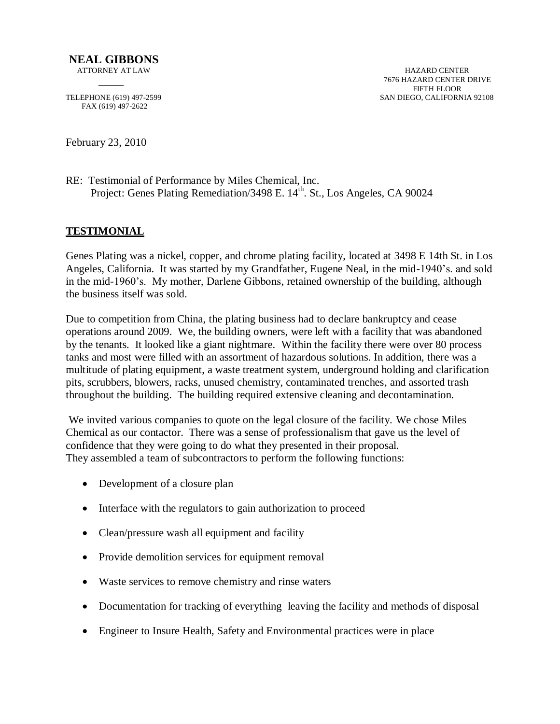FAX (619) 497-2622

February 23, 2010

RE: Testimonial of Performance by Miles Chemical, Inc. Project: Genes Plating Remediation/3498 E. 14<sup>th</sup>. St., Los Angeles, CA 90024

## **TESTIMONIAL**

Genes Plating was a nickel, copper, and chrome plating facility, located at 3498 E 14th St. in Los Angeles, California. It was started by my Grandfather, Eugene Neal, in the mid-1940's. and sold in the mid-1960's. My mother, Darlene Gibbons, retained ownership of the building, although the business itself was sold.

Due to competition from China, the plating business had to declare bankruptcy and cease operations around 2009. We, the building owners, were left with a facility that was abandoned by the tenants. It looked like a giant nightmare. Within the facility there were over 80 process tanks and most were filled with an assortment of hazardous solutions. In addition, there was a multitude of plating equipment, a waste treatment system, underground holding and clarification pits, scrubbers, blowers, racks, unused chemistry, contaminated trenches, and assorted trash throughout the building. The building required extensive cleaning and decontamination.

We invited various companies to quote on the legal closure of the facility. We chose Miles Chemical as our contactor. There was a sense of professionalism that gave us the level of confidence that they were going to do what they presented in their proposal. They assembled a team of subcontractors to perform the following functions:

- Development of a closure plan
- Interface with the regulators to gain authorization to proceed
- Clean/pressure wash all equipment and facility
- Provide demolition services for equipment removal
- Waste services to remove chemistry and rinse waters
- Documentation for tracking of everything leaving the facility and methods of disposal
- Engineer to Insure Health, Safety and Environmental practices were in place